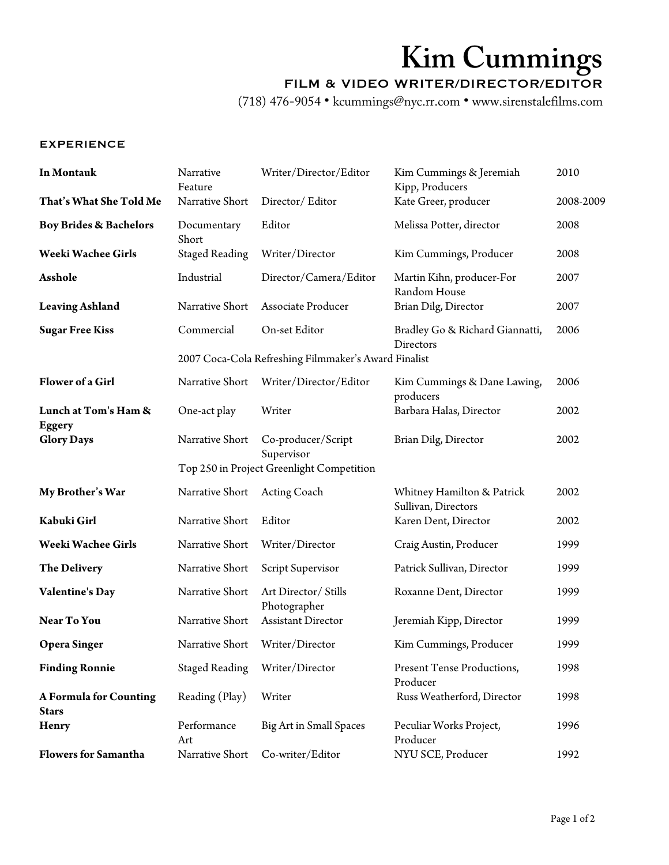# **Kim Cummings**

### FILM & VIDEO WRITER/DIRECTOR/EDITOR

(718) 476-9054 • kcummings@nyc.rr.com • www.sirenstalefilms.com

### EXPERIENCE

| In Montauk                                    | Narrative<br>Feature                                 | Writer/Director/Editor                    | Kim Cummings & Jeremiah<br>Kipp, Producers        | 2010      |
|-----------------------------------------------|------------------------------------------------------|-------------------------------------------|---------------------------------------------------|-----------|
| That's What She Told Me                       | Narrative Short                                      | Director/Editor                           | Kate Greer, producer                              | 2008-2009 |
| <b>Boy Brides &amp; Bachelors</b>             | Documentary<br>Short                                 | Editor                                    | Melissa Potter, director                          | 2008      |
| Weeki Wachee Girls                            | <b>Staged Reading</b>                                | Writer/Director                           | Kim Cummings, Producer                            | 2008      |
| Asshole                                       | Industrial                                           | Director/Camera/Editor                    | Martin Kihn, producer-For<br>Random House         | 2007      |
| <b>Leaving Ashland</b>                        | Narrative Short                                      | Associate Producer                        | Brian Dilg, Director                              | 2007      |
| <b>Sugar Free Kiss</b>                        | Commercial                                           | On-set Editor                             | Bradley Go & Richard Giannatti,<br>Directors      | 2006      |
|                                               | 2007 Coca-Cola Refreshing Filmmaker's Award Finalist |                                           |                                                   |           |
| Flower of a Girl                              | Narrative Short                                      | Writer/Director/Editor                    | Kim Cummings & Dane Lawing,<br>producers          | 2006      |
| Lunch at Tom's Ham &                          | One-act play                                         | Writer                                    | Barbara Halas, Director                           | 2002      |
| <b>Eggery</b><br><b>Glory Days</b>            | Narrative Short                                      | Co-producer/Script<br>Supervisor          | Brian Dilg, Director                              | 2002      |
|                                               |                                                      | Top 250 in Project Greenlight Competition |                                                   |           |
| My Brother's War                              | Narrative Short                                      | <b>Acting Coach</b>                       | Whitney Hamilton & Patrick<br>Sullivan, Directors | 2002      |
| Kabuki Girl                                   | Narrative Short                                      | Editor                                    | Karen Dent, Director                              | 2002      |
| Weeki Wachee Girls                            | Narrative Short                                      | Writer/Director                           | Craig Austin, Producer                            | 1999      |
| <b>The Delivery</b>                           | Narrative Short                                      | Script Supervisor                         | Patrick Sullivan, Director                        | 1999      |
| <b>Valentine's Day</b>                        | Narrative Short                                      | Art Director/ Stills<br>Photographer      | Roxanne Dent, Director                            | 1999      |
| Near To You                                   | Narrative Short                                      | <b>Assistant Director</b>                 | Jeremiah Kipp, Director                           | 1999      |
| <b>Opera Singer</b>                           | Narrative Short                                      | Writer/Director                           | Kim Cummings, Producer                            | 1999      |
| <b>Finding Ronnie</b>                         | <b>Staged Reading</b>                                | Writer/Director                           | Present Tense Productions,<br>Producer            | 1998      |
| <b>A Formula for Counting</b><br><b>Stars</b> | Reading (Play)                                       | Writer                                    | Russ Weatherford, Director                        | 1998      |
| Henry                                         | Performance<br>Art                                   | Big Art in Small Spaces                   | Peculiar Works Project,<br>Producer               | 1996      |
| <b>Flowers for Samantha</b>                   | Narrative Short                                      | Co-writer/Editor                          | NYU SCE, Producer                                 | 1992      |